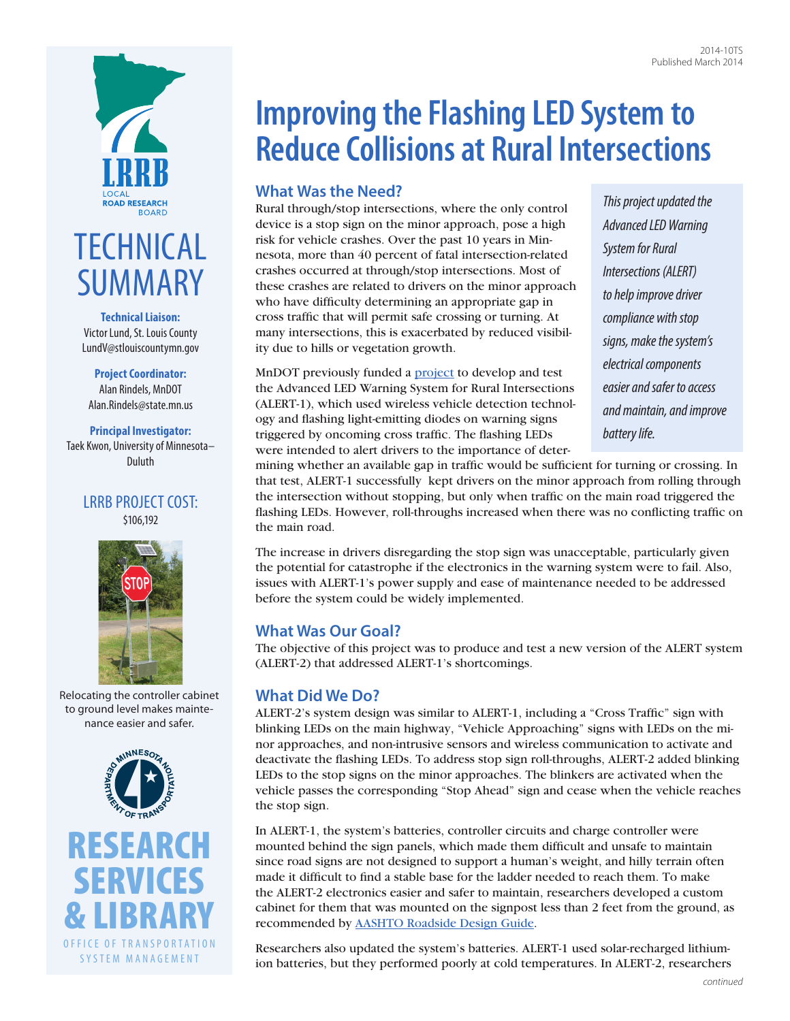



**Technical Liaison:**  Victor Lund, St. Louis County [LundV@stlouiscountymn.gov](mailto:LundV@stlouiscountymn.gov)

**Project Coordinator:**  Alan Rindels, MnDOT [Alan.Rindels@state.mn.us](mailto:Alan.Rindels@state.mn.us)

**Principal Investigator:**  Taek Kwon, University of Minnesota– Duluth

#### LRRB PROJECT COST: \$106,192





Relocating the controller cabinet to ground level makes maintenance easier and safer.



# **Improving the Flashing LED System to Reduce Collisions at Rural Intersections**

## **What Was the Need?**

Rural through/stop intersections, where the only control device is a stop sign on the minor approach, pose a high risk for vehicle crashes. Over the past 10 years in Minnesota, more than 40 percent of fatal intersection-related crashes occurred at through/stop intersections. Most of these crashes are related to drivers on the minor approach who have difficulty determining an appropriate gap in cross traffic that will permit safe crossing or turning. At many intersections, this is exacerbated by reduced visibility due to hills or vegetation growth.

MnDOT previously funded a **project** to develop and test the Advanced LED Warning System for Rural Intersections (ALERT-1), which used wireless vehicle detection technology and flashing light-emitting diodes on warning signs triggered by oncoming cross traffic. The flashing LEDs were intended to alert drivers to the importance of deter*This project updated the Advanced LED Warning System for Rural Intersections (ALERT) to help improve driver compliance with stop signs, make the system's electrical components easier and safer to access and maintain, and improve battery life.*

mining whether an available gap in traffic would be sufficient for turning or crossing. In that test, ALERT-1 successfully kept drivers on the minor approach from rolling through the intersection without stopping, but only when traffic on the main road triggered the flashing LEDs. However, roll-throughs increased when there was no conflicting traffic on the main road.

The increase in drivers disregarding the stop sign was unacceptable, particularly given the potential for catastrophe if the electronics in the warning system were to fail. Also, issues with ALERT-1's power supply and ease of maintenance needed to be addressed before the system could be widely implemented.

## **What Was Our Goal?**

The objective of this project was to produce and test a new version of the ALERT system (ALERT-2) that addressed ALERT-1's shortcomings.

## **What Did We Do?**

ALERT-2's system design was similar to ALERT-1, including a "Cross Traffic" sign with blinking LEDs on the main highway, "Vehicle Approaching" signs with LEDs on the minor approaches, and non-intrusive sensors and wireless communication to activate and deactivate the flashing LEDs. To address stop sign roll-throughs, ALERT-2 added blinking LEDs to the stop signs on the minor approaches. The blinkers are activated when the vehicle passes the corresponding "Stop Ahead" sign and cease when the vehicle reaches the stop sign.

In ALERT-1, the system's batteries, controller circuits and charge controller were mounted behind the sign panels, which made them difficult and unsafe to maintain since road signs are not designed to support a human's weight, and hilly terrain often made it difficult to find a stable base for the ladder needed to reach them. To make the ALERT-2 electronics easier and safer to maintain, researchers developed a custom cabinet for them that was mounted on the signpost less than 2 feet from the ground, as recommended by [AASHTO Roadside Design Guide.](https://bookstore.transportation.org/item_details.aspx?id=1802)

Researchers also updated the system's batteries. ALERT-1 used solar-recharged lithiumion batteries, but they performed poorly at cold temperatures. In ALERT-2, researchers